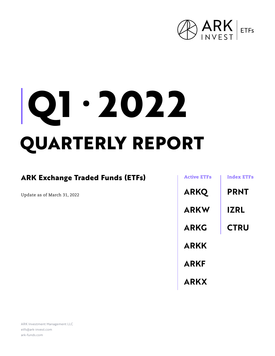

# **QUARTERLY REPORT Q1 ∙ 2022**

# **ARK Exchange Traded Funds (ETFs)**

Update as of March 31, 2022

| <b>Active ETFs</b> | <b>Index ETFs</b> |
|--------------------|-------------------|
| <b>ARKQ</b>        | <b>PRNT</b>       |
| <b>ARKW</b>        | <b>IZRL</b>       |
| <b>ARKG</b>        | <b>CTRU</b>       |
| <b>ARKK</b>        |                   |
| <b>ARKF</b>        |                   |
| <b>ARKX</b>        |                   |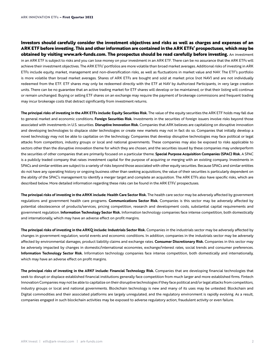**Investors should carefully consider the investment objectives and risks as well as charges and expenses of an ARK ETF before investing. This and other information are contained in the ARK ETFs' prospectuses, which may be obtained by visiting www.ark-funds.com. The prospectus should be read carefully before investing.** An investment in an ARK ETF is subject to risks and you can lose money on your investment in an ARK ETF. There can be no assurance that the ARK ETFs will achieve their investment objectives. The ARK ETFs' portfolios are more volatile than broad market averages. Additional risks of investing in ARK ETFs include equity, market, management and non-diversification risks, as well as fluctuations in market value and NAV. The ETF's portfolio is more volatile than broad market averages. Shares of ARK ETFs are bought and sold at market price (not NAV) and are not individually redeemed from the ETF. ETF shares may only be redeemed directly with the ETF at NAV by Authorized Participants, in very large creation units. There can be no guarantee that an active trading market for ETF shares will develop or be maintained, or that their listing will continue or remain unchanged. Buying or selling ETF shares on an exchange may require the payment of brokerage commissions and frequent trading may incur brokerage costs that detract significantly from investment returns.

**The principal risks of investing in the ARK ETFs include: Equity Securities Risk.** The value of the equity securities the ARK ETF holds may fall due to general market and economic conditions. **Foreign Securities Risk.** Investments in the securities of foreign issuers involve risks beyond those associated with investments in U.S. securities. **Disruptive Innovation Risk.** Companies that ARK believes are capitalizing on disruptive innovation and developing technologies to displace older technologies or create new markets may not in fact do so. Companies that initially develop a novel technology may not be able to capitalize on the technology. Companies that develop disruptive technologies may face political or legal attacks from competitors, industry groups or local and national governments. These companies may also be exposed to risks applicable to sectors other than the disruptive innovation theme for which they are chosen, and the securities issued by these companies may underperform the securities of other companies that are primarily focused on a particular theme. **Special Purpose Acquisition Companies (SPAC) Risk.** A SPAC is a publicly traded company that raises investment capital for the purpose of acquiring or merging with an existing company. Investments in SPACs and similar entities are subject to a variety of risks beyond those associated with other equity securities. Because SPACs and similar entities do not have any operating history or ongoing business other than seeking acquisitions, the value of their securities is particularly dependent on the ability of the SPAC's management to identify a merger target and complete an acquisition. The ARK ETFs also have specific risks, which are described below. More detailed information regarding these risks can be found in the ARK ETFs' prospectuses.

The principal risks of investing in the ARKK include: Health Care Sector Risk. The health care sector may be adversely affected by government regulations and government health care programs. **Communications Sector Risk.** Companies is this sector may be adversely affected by potential obsolescence of products/services, pricing competition, research and development costs, substantial capital requirements and government regulation. **Information Technology Sector Risk.** Information technology companies face intense competition, both domestically and internationally, which may have an adverse effect on profit margins.

**The principal risks of investing in the ARKQ include: Industrials Sector Risk.** Companies in the industrials sector may be adversely affected by changes in government regulation, world events and economic conditions. In addition, companies in the industrials sector may be adversely affected by environmental damages, product liability claims and exchange rates. **Consumer Discretionary Risk.** Companies in this sector may be adversely impacted by changes in domestic/international economies, exchange/interest rates, social trends and consumer preferences. **Information Technology Sector Risk.** Information technology companies face intense competition, both domestically and internationally, which may have an adverse effect on profit margins.

**The principal risks of investing in the ARKF include: Financial Technology Risk.** Companies that are developing financial technologies that seek to disrupt or displace established financial institutions generally face competition from much larger and more established firms. Fintech Innovation Companies may not be able to capitalize on their disruptive technologies if they face political and/or legal attacks from competitors, industry groups or local and national governments. Blockchain technology is new and many of its uses may be untested. Blockchain and Digital commodities and their associated platforms are largely unregulated, and the regulatory environment is rapidly evolving. As a result, companies engaged in such blockchain activities may be exposed to adverse regulatory action, fraudulent activity or even failure.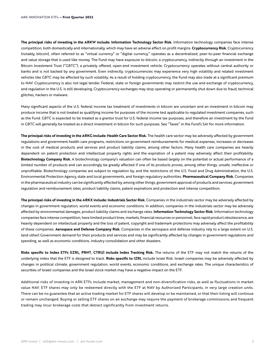**The principal risks of investing in the ARKW include: Information Technology Sector Risk.** Information technology companies face intense competition, both domestically and internationally, which may have an adverse effect on profit margins. **Cryptocurrency Risk.** Cryptocurrency (notably, bitcoin), often referred to as ''virtual currency'' or ''digital currency,'' operates as a decentralized, peer-to-peer financial exchange and value storage that is used like money. The Fund may have exposure to bitcoin, a cryptocurrency, indirectly through an investment in the Bitcoin Investment Trust (''GBTC''), a privately offered, open-end investment vehicle. Cryptocurrency operates without central authority or banks and is not backed by any government. Even indirectly, cryptocurrencies may experience very high volatility and related investment vehicles like GBTC may be affected by such volatility. As a result of holding cryptocurrency, the Fund may also trade at a significant premium to NAV. Cryptocurrency is also not legal tender. Federal, state or foreign governments may restrict the use and exchange of cryptocurrency, and regulation in the U.S. is still developing. Cryptocurrency exchanges may stop operating or permanently shut down due to fraud, technical glitches, hackers or malware.

Many significant aspects of the U.S. federal income tax treatment of investments in bitcoin are uncertain and an investment in bitcoin may produce income that is not treated as qualifying income for purposes of the income test applicable to regulated investment companies, such as the Fund. GBTC is expected to be treated as a grantor trust for U.S. federal income tax purposes, and therefore an investment by the Fund in GBTC will generally be treated as a direct investment in bitcoin for such purposes. See ''Taxes'' in the Fund's SAI for more information.

**The principal risks of investing in the ARKG include: Health Care Sector Risk.** The health care sector may be adversely affected by government regulations and government health care programs, restrictions on government reimbursements for medical expenses, increases or decreases in the cost of medical products and services and product liability claims, among other factors. Many health care companies are heavily dependent on patent protection and intellectual property rights and the expiration of a patent may adversely affect their profitability. **Biotechnology Company Risk.** A biotechnology company's valuation can often be based largely on the potential or actual performance of a limited number of products and can accordingly be greatly affected if one of its products proves, among other things, unsafe, ineffective or unprofitable. Biotechnology companies are subject to regulation by, and the restrictions of, the U.S. Food and Drug Administration, the U.S. Environmental Protection Agency, state and local governments, and foreign regulatory authorities. **Pharmaceutical Company Risk.** Companies in the pharmaceutical industry can be significantly affected by, among other things, government approval of products and services, government regulation and reimbursement rates, product liability claims, patent expirations and protection and intense competition.

**The principal risks of investing in the ARKX include: Industrials Sector Risk.** Companies in the industrials sector may be adversely affected by changes in government regulation, world events and economic conditions. In addition, companies in the industrials sector may be adversely affected by environmental damages, product liability claims and exchange rates. **Information Technology Sector Risk.** Information technology companies face intense competition, have limited product lines, markets, financial resources or personnel, face rapid product obsolescence, are heavily dependent on intellectual property and the loss of patent, copyright and trademark protections may adversely affect the profitability of these companies. **Aerospace and Defense Company Risk.** Companies in the aerospace and defense industry rely to a large extent on U.S. (and other) Government demand for their products and services and may be significantly affected by changes in government regulations and spending, as well as economic conditions, industry consolidation and other disasters.

**Risks specific to Index ETFs (IZRL, PRNT, CTRU) include Index Tracking Risk.** The returns of the ETF may not match the returns of the underlying index that the ETF is designed to track. **Risks specific to IZRL** include Israel Risk. Israeli companies may be adversely affected by changes in political climate, government regulation, world events, economic conditions, and exchange rates. The unique characteristics of securities of Israeli companies and the Israel stock market may have a negative impact on the ETF.

Additional risks of investing in ARK ETFs include market, management and non-diversification risks, as well as fluctuations in market value NAV. ETF shares may only be redeemed directly with the ETF at NAV by Authorized Participants, in very large creation units. There can be no guarantee that an active trading market for ETF shares will develop or be maintained, or that their listing will continue or remain unchanged. Buying or selling ETF shares on an exchange may require the payment of brokerage commissions and frequent trading may incur brokerage costs that detract significantly from investment returns.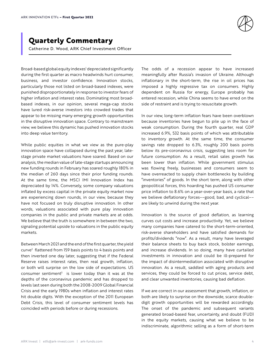

# **Quarterly Commentary**

Catherine D. Wood, ARK Chief Investment Officer

Broad-based global equity indexes<sup>1</sup> depreciated significantly during the first quarter as macro headwinds hurt consumer, business, and investor confidence. Innovation stocks, particularly those not listed on broad-based indexes, were punished disproportionately in response to investor fears of higher inflation and interest rates. Dominating most broadbased indexes, in our opinion, several mega-cap stocks have lured risk-averse investors into crowded trades that appear to be missing many emerging growth opportunities in the disruptive innovation space. Contrary to mainstream view, we believe this dynamic has pushed innovation stocks into deep value territory.

While public equities in what we view as the pure-play innovation space have collapsed during the past year, latestage private market valuations have soared. Based on our analysis, the median value of late-stage startups announcing new funding rounds in February has soared roughly 180% in the median of 260 days since their prior funding rounds. At the same time, the MSCI IMI Innovation Index has depreciated by 14%. Conversely, some company valuations inflated by excess capital in the private equity market now are experiencing down rounds, in our view, because they have not focused on truly disruptive innovation. In other words, valuations associated with pure play innovation companies in the public and private markets are at odds. We believe that the truth is somewhere in between the two, signaling potential upside to valuations in the public equity markets.

Between March 2021 and the end of the first quarter, the yield curve<sup>2</sup> flattened from 159 basis points to 4 basis points and then inverted one day later, suggesting that if the Federal Reserve raises interest rates, then real growth, inflation, or both will surprise on the low side of expectations. US consumer sentiment $3$  is lower today than it was at the depths of the coronavirus pandemic and has dropped to levels last seen during both the 2008-2009 Global Financial Crisis and the early 1980s when inflation and interest rates hit double digits. With the exception of the 2011 European Debt Crisis, this level of consumer sentiment levels has coincided with periods before or during recessions.

The odds of a recession appear to have increased meaningfully after Russia's invasion of Ukraine. Although inflationary in the short-term, the rise in oil prices has imposed a highly regressive tax on consumers. Highly dependent on Russia for energy, Europe probably has entered recession, while China seems to have erred on the side of restraint and is trying to resuscitate growth.

In our view, long-term inflation fears have been overblown because inventories have begun to pile up in the face of weak consumption. During the fourth quarter, real GDP increased 6.9%, 532 basis points of which was attributable to inventory growth. At the same time, the consumer savings rate dropped to 6.3%, roughly 200 basis points below its pre-coronavirus crisis, suggesting less room for future consumption. As a result, retail sales growth has been lower than inflation. While government stimulus was flowing freely, businesses and consumers seem to have overreacted to supply chain bottlenecks by building "inventories" of goods. In the short term, along with other geopolitical forces, this hoarding has pushed US consumer price inflation to 8.6% on a year-over-year basis, a rate that we believe deflationary forces––good, bad, and cyclical–– are likely to unwind during the next year.

Innovation is the source of good deflation, as learning curves cut costs and increase productivity. Yet, we believe many companies have catered to the short-term-oriented, risk-averse shareholders and have satisfied demands for profits/dividends "now". As a result, many have leveraged their balance sheets to buy back stock, bolster earnings, and increase dividends. In so doing, many have curtailed investments in innovation and could be ill-prepared for the impact of disintermediation associated with disruptive innovation. As a result, saddled with aging products and services, they could be forced to cut prices, service debt, and clear unwanted inventories, causing bad deflation.

If we are correct in our assessment that growth, inflation, or both are likely to surprise on the downside, scarce doubledigit growth opportunities will be rewarded accordingly. The onset of the pandemic and subsequent variants generated broad-based fear, uncertainty, and doubt (FUD) in the equity markets, causing what we believe to be indiscriminate, algorithmic selling as a form of short-term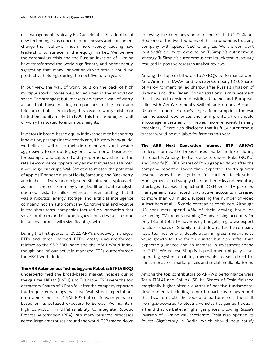risk management. Typically, FUD accelerates the adoption of new technologies as concerned businesses and consumers change their behavior much more rapidly, causing new leadership to surface in the equity market. We believe the coronavirus crisis and the Russian invasion of Ukraine have transformed the world significantly and permanently, suggesting that many innovation-driven stocks could be productive holdings during the next five to ten years.

In our view, the wall of worry built on the back of high multiple stocks bodes well for equities in the innovation space. The strongest bull markets do climb a wall of worry, a fact that those making comparisons to the tech and telecom bubble seem to forget. No wall of worry existed or tested the equity market in 1999. This time around, the wall of worry has scaled to enormous heights.

Investors in broad-based equity indexes seem to be shorting innovation, perhaps inadvertently and, if history is any guide, we believe it will be to their detriment. Amazon invested aggressively to disrupt legacy brick and mortar businesses, for example, and captured a disproportionate share of the retail e-commerce opportunity as most investors assumed it would go bankrupt. Wall Street also missed the potential of Apple's iPhone to disrupt Nokia, Samsung, and Blackberry, and in the last five years denigrated Bitcoin and cryptoassets as Ponzi schemes. For many years, traditional auto analysts doomed Tesla to failure without understanding that it was a robotics, energy storage, and artificial intelligence company, not an auto company. Controversial and volatile in the short-term, companies focused on innovation that solves problems and disrupts legacy industries can, in some instances, surprise with significant growth.

During the first quarter of 2022, ARK's six actively managed ETFs and three indexed ETFs mostly underperformed relative to the S&P 500 Index and the MSCI World Index, though one of our actively managed ETFs outperformed the MSCI World Index.

#### **The ARK Autonomous Technology and Robotics ETF (ARKQ)**

underperformed the broad-based market indexes during the quarter. UiPath (PATH) and Tusimple (TSP) were the top detractors. Shares of UiPath fell after the company reported fourth-quarter earnings that beat Wall Street expectations on revenue and non-GAAP EPS but cut forward guidance based on its outsized exposure to Europe. We maintain high conviction in UiPath's ability to integrate Robotic Process Automation (RPA) into many business processes across large enterprises around the world. TSP traded down

following the company's announcement that CTO Xiaodi Hou, one of the two founders of this autonomous trucking company, will replace CEO Cheng Lu. We are confident in Xiaodi's ability to execute on TuSimple's autonomous strategy. TuSimple's autonomous semi-truck test in January resulted in positive research analyst reviews.

Among the top contributors to ARKQ's performance were AeroVironment (AVAV) and Deere & Company (DE). Shares of AeroVironment rallied sharply after Russia's invasion of Ukraine and the Biden Administration's announcement that it would consider providing Ukraine and European allies with AeroVironment's Switchblade drones. Because Ukraine is one of Europe's largest food suppliers, the war has increased food prices and farm profits, which should encourage investment in newer, more efficient farming machinery. Deere also disclosed that its fully autonomous tractor would be available for farmers this year.

**The ARK Next Generation Internet ETF (ARKW)**  underperformed the broad-based market indexes during the quarter. Among the top detractors were Roku (ROKU) and Shopify (SHOP). Shares of Roku gapped down after the company reported lower than expected fourth-quarter revenue growth and guided for further deceleration. Management cited supply chain bottlenecks and inventory shortages that have impacted its OEM smart TV partners. Management also noted that active accounts increased to more than 60 million, surpassing the number of video subscribers at all US cable companies combined. Although US consumers spend 45% of their viewing hours on streaming TV today, streaming TV advertising accounts for only 18% of total TV advertising budgets, a gap we expect to close. Shares of Shopify traded down after the company reported not only a deceleration in gross merchandise value growth for the fourth quarter but also softer than expected guidance and an increase in investment spend for 2022. We believe Shopify is positioned uniquely as an operating system enabling merchants to sell direct-toconsumer across marketplaces and social media platforms.

Among the top contributors to ARKW's performance were Tesla (TSLA) and Splunk (SPLK). Shares of Tesla finished marginally higher after a quarter of positive fundamental developments, including a fourth-quarter earnings report that beat on both the top- and bottom-lines. The shift from gas-powered to electric vehicles has gained traction, a trend that we believe higher gas prices following Russia's invasion of Ukraine will accelerate. Tesla also opened its fourth Gigafactory in Berlin, which should help satisfy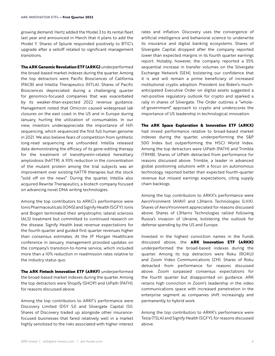growing demand. Hertz added the Model 3 to its rental fleet last year and announced in March that it plans to add the Model Y. Shares of Splunk responded positively to BTIG's upgrade after a selloff related to significant management transitions.

**The ARK Genomic Revolution ETF (ARKG)** underperformed the broad-based market indexes during the quarter. Among the top detractors were Pacific Biosciences of California (PACB) and Intellia Therapeutics (NTLA). Shares of Pacific Biosciences depreciated during a challenging quarter for genomics-focused companies that was exacerbated by its weaker-than-expected 2022 revenue guidance. Management noted that Omicron caused widespread lab closures on the east coast in the US and in Europe during January, hurting the utilization of consumables. In our view, investors underappreciate the importance of HiFi sequencing, which sequenced the first full human genome in 2021. We also believe fears of competition from synthetic long-read sequencing are unfounded. Intellia released data demonstrating the efficacy of its gene-editing therapy for the treatment of transthyretin-related hereditary amyloidosis (hATTR). A 93% reduction in the concentration of the mutant protein among the trial subjects was an improvement over existing hATTR therapies but the stock "sold off on the news". During the quarter, Intellia also acquired Rewrite Therapeutics, a biotech company focused on advancing novel DNA writing technologies.

Among the top contributors to ARKG's performance were Ionis Pharmaceuticals (IONS) and Signify Health (SGFY). Ionis and Biogen terminated their amyotrophic lateral sclerosis (ALS) treatment but committed to continued research on the disease. Signify Health beat revenue expectations for the fourth quarter and guided first quarter revenues higher than consensus estimates. At the JP Morgan Healthcare conference in January, management provided updates on the company's transition-to-home service, which included more than a 10% reduction in readmission rates relative to the industry status quo.

**The ARK Fintech Innovation ETF (ARKF)** underperformed the broad-based market indexes during the quarter. Among the top detractors were Shopify (SHOP) and UiPath (PATH), for reasons discussed above.

Among the top contributors to ARKF's performance were Discovery Limited (DSY SJ) and Silvergate Capital (SI). Shares of Discovery traded up alongside other insurancefocused businesses that fared relatively well in a market highly sensitized to the risks associated with higher interest rates and inflation. Discovery uses the convergence of artificial intelligence and behavioral science to underwrite its insurance and digital banking ecosystems. Shares of Silvergate Capital dropped after the company reported lower than expected margins in its fourth quarter earnings report. Notably, however, the company reported a 35% sequential increase in transfer volumes on the Silvergate Exchange Network (SEN), bolstering our confidence that it is and will remain a prime beneficiary of increased institutional crypto adoption. President Joe Biden's muchanticipated Executive Order on digital assets suggested a net-positive regulatory outlook for crypto and sparked a rally in shares of Silvergate. The Order outlines a "wholeof-government" approach to crypto and underscores the importance of US leadership in technological innovation.

**The ARK Space Exploration & Innovation ETF (ARKX)** had mixed performance relative to broad-based market indexes during the quarter, underperforming the S&P 500 Index but outperforming the MSCI World Index. Among the top detractors were UiPath (PATH) and Trimble (TRMB). Shares of UiPath detracted from performance for reasons discussed above. Trimble, a leader in advanced global positioning solutions with a focus on autonomous technology, reported better than expected fourth-quarter revenue but missed earnings expectations, citing supply chain backlogs.

Among the top contributors to ARKX's performance were AeroVironment (AVAV) and L3Harris Technologies (LHX). Shares of AeroVironment appreciated for reasons discussed above. Shares of L3Harris Technologies rallied following Russia's invasion of Ukraine, bolstering the outlook for defense spending by the US and Europe.

Invested in the highest conviction names in the Funds discussed above, the **ARK Innovation ETF (ARKK)**  underperformed the broad-based indexes during the quarter. Among its top detractors were Roku (ROKU) and Zoom Video Communications (ZM). Shares of Roku detracted from performance for reasons discussed above. Zoom surpassed consensus expectations for the fourth quarter but disappointed on guidance. ARK retains high conviction in Zoom's leadership in the video communications space with increased penetration in the enterprise segment as companies shift increasingly and permanently to hybrid work.

Among the top contributors to ARKK's performance were Tesla (TSLA) and Signify Health (SGFY), for reasons discussed above.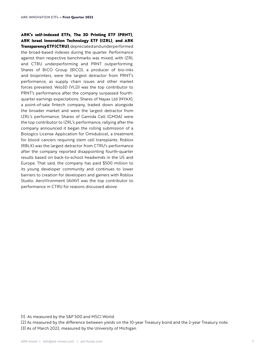**ARK's self-indexed ETFs, The 3D Printing ETF (PRNT), ARK Israel Innovation Technology ETF (IZRL), and ARK Transparency ETF (CTRU)**, depreciated and underperformed the broad-based indexes during the quarter. Performance against their respective benchmarks was mixed, with IZRL and CTRU underperforming and PRNT outperforming. Shares of BICO Group (BICO), a producer of bio-inks and bioprinters, were the largest detractor from PRNT's performance, as supply chain issues and other market forces prevailed. Velo3D (VLD) was the top contributor to PRNT's performance after the company surpassed fourthquarter earnings expectations. Shares of Nayax Ltd (NYAX), a point-of-sale fintech company, traded down alongside the broader market and were the largest detractor from IZRL's performance. Shares of Gamida Cell (GMDA) were the top contributor to IZRL's performance, rallying after the company announced it began the rolling submission of a Biologics License Application for Omidubicel, a treatment for blood cancers requiring stem cell transplants. Roblox (RBLX) was the largest detractor from CTRU's performance after the company reported disappointing fourth-quarter results based on back-to-school headwinds in the US and Europe. That said, the company has paid \$500 million to its young developer community and continues to lower barriers to creation for developers and gamers with Roblox Studio. AeroVironment (AVAV) was the top contributor to performance in CTRU for reasons discussed above.

<sup>[1]</sup> As measured by the S&P 500 and MSCI World.

<sup>[2]</sup> As measured by the difference between yields on the 10-year Treasury bond and the 2-year Treasury note.

<sup>[3]</sup> As of March 2022, measured by the University of Michigan.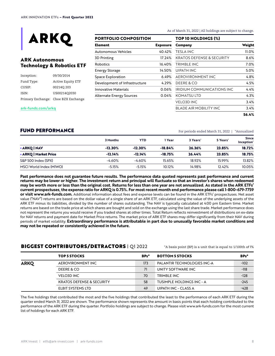

# **ARK Autonomous Technology & Robotics ETF**

| Inception: | 09/30/2014                          |
|------------|-------------------------------------|
| Fund Type: | Active Equity ETF                   |
| CUSIP:     | 00214Q 203                          |
| ISIN:      | US00214O2030                        |
|            | Primary Exchange: Cboe BZX Exchange |

#### **PORTFOLIO COMPOSITION**

| Element                         | <b>Exposure</b> |
|---------------------------------|-----------------|
| <b>Autonomous Vehicles</b>      | 40.42%          |
| 3D Printing                     | 17.24%          |
| Robotics                        | 16.40%          |
| <b>Energy Storage</b>           | 14.50%          |
| Space Exploration               | 6.49%           |
| Development of Infrastructure   | 4.29%           |
| <b>Innovative Materials</b>     | 0.06%           |
| <b>Alternate Energy Sources</b> | 0.04%           |

As of March 31, 2022 | All holdings are subject to change.

| Company                    | Weight |
|----------------------------|--------|
| TESLA INC                  | 11.0%  |
| KRATOS DEFENSE & SECURITY  | 8.6%   |
| TRIMBI F INC               | 7.0%   |
| UIPATH INC                 | 5.0%   |
| AEROVIRONMENT INC          | 4.8%   |
| DEERE & CO                 | 4.5%   |
| IRIDIUM COMMUNICATIONS INC | 4.4%   |
| KOMATSU LTD                | 4.3%   |
| <b>VELO3D INC</b>          | 3.4%   |
| BLADE AIR MOBILITY INC     | 3.4%   |
|                            | 56.4%  |

**<ark-funds.com/arkq>**

FUND PERFORMANCE For periods ended March 31, 2022 | \*Annualized

|                         | 3 Months  | YTD       | 1 Year    | 3 Years' | 5 Years' | <b>Since</b><br>Inception <sup>*</sup> |
|-------------------------|-----------|-----------|-----------|----------|----------|----------------------------------------|
| • ARKQ   NAV            | $-12.30%$ | $-12.30%$ | $-18.84%$ | 26.36%   | 23.85%   | 18.72%                                 |
| • ARKQ   Market Price   | $-12.14%$ | $-12.14%$ | $-18.75%$ | 26.44%   | 23.85%   | 18.75%                                 |
| S&P 500 Index (SPX)     | $-4.60%$  | $-4.60%$  | 15.65%    | 18.92%   | 15.99%   | 13.82%                                 |
| MSCI World Index (MIWO) | $-5.15%$  | $-5.15%$  | 10.12%    | 14.98%   | 12.42%   | 10.05%                                 |

**Past performance does not guarantee future results. The performance data quoted represents past performance and current returns may be lower or higher. The investment return and principal will fluctuate so that an investor's shares when redeemed may be worth more or less than the original cost. Returns for less than one year are not annualized. As stated in the ARK ETFs' current prospectuses, the expense ratio for ARKQ is 0.75%. For most recent month end performance please call 1-800-679-7759 or visit www.ark-funds.com.** Additional information about fees and expense levels can be found in the ARK ETFs' prospectuses. Net asset value ("NAV") returns are based on the dollar value of a single share of an ARK ETF, calculated using the value of the underlying assets of the ARK ETF minus its liabilities, divided by the number of shares outstanding. The NAV is typically calculated at 4:00 pm Eastern time. Market returns are based on the trade price at which shares are bought and sold on the exchange using the last share trade. Market performance does not represent the returns you would receive if you traded shares at other times. Total Return reflects reinvestment of distributions on ex-date for NAV returns and payment date for Market Price returns. The market price of ARK ETF shares may differ significantly from their NAV during periods of market volatility. **Extraordinary performance is attributable in part due to unusually favorable market conditions and may not be repeated or consistently achieved in the future.**

# **BIGGEST CONTRIBUTORS/DETRACTORS** | Q1 2022  $\bullet$  \* A basis point (BP) is a unit that is equal to 1/100th of 1%

|             | <b>TOP 5 STOCKS</b>                  | BPs* | <b>BOTTOM 5 STOCKS</b>      | BPs*   |
|-------------|--------------------------------------|------|-----------------------------|--------|
| <b>ARKQ</b> | AEROVIRONMENT INC                    | 173  | PALANTIR TECHNOLOGIES INC-A | $-102$ |
|             | DEERE & CO                           | 71   | UNITY SOFTWARE INC          | $-118$ |
|             | <b>VELO3D INC</b>                    | 70   | TRIMBLE INC                 | $-128$ |
|             | <b>KRATOS DEFENSE &amp; SECURITY</b> | 58   | TUSIMPLE HOLDINGS INC - A   | $-245$ |
|             | ELBIT SYSTEMS LTD                    | 49   | UIPATH INC - CLASS A        | $-428$ |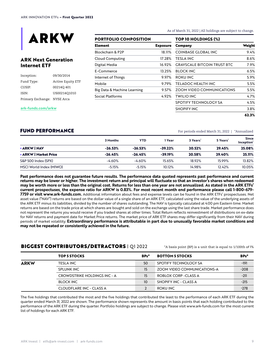

# **ARK Next Generation Internet ETF**

| Inception:                  | 09/30/2014               |
|-----------------------------|--------------------------|
| Fund Type:                  | <b>Active Equity ETF</b> |
| CUSIP:                      | 002140401                |
| ISIN:                       | US00214O1010             |
| Primary Exchange: NYSE Arca |                          |

**PORTFOLIO COMPOSITION**

| Element                     | <b>Exposure</b> |
|-----------------------------|-----------------|
| Blockchain & P2P            | 18.11%          |
| <b>Cloud Computing</b>      | 17.28%          |
| Digital Media               | 16.92%          |
| F-Commerce                  | 13.25%          |
| Internet of Things          | 9.97%           |
| Mobile                      | 9.79%           |
| Big Data & Machine Learning | 9.57%           |
| Social Platforms            | 4.92%           |

As of March 31, 2022 | All holdings are subject to change.

| TOP 10 HOLDINGS (%)                |        |
|------------------------------------|--------|
| Company                            | Weight |
| COINBASE GLOBAL INC                | 9.4%   |
| TESLA INC                          | 8.6%   |
| <b>GRAYSCALE BITCOIN TRUST BTC</b> | 7.9%   |
| BI OCK INC                         | 6.5%   |
| ROKU INC                           | 5.9%   |
| TFI ADOC HFAITH INC                | 5.5%   |
| ZOOM VIDEO COMMUNICATIONS          | 5.5%   |
| TWILIO INC                         | 4.7%   |
| SPOTIFY TECHNOLOGY SA              | 4.5%   |
| SHOPIFY INC                        | 3.8%   |
|                                    | 62.3%  |

#### **[ark-funds.com/arkw](ark-funds.com/arkq)**

FUND PERFORMANCE For periods ended March 31, 2022 | \*Annualized

|                         | 3 Months  | YTD       | l Year    | 3 Years' | 5 Years' | <b>Since</b><br>Inception' |
|-------------------------|-----------|-----------|-----------|----------|----------|----------------------------|
| <b>• ARKW I NAV</b>     | $-26.53%$ | $-26.53%$ | $-39.22%$ | 20.52%   | 29.45%   | 25.08%                     |
| • ARKW   Market Price   | $-26.45%$ | $-26.45%$ | $-39.19%$ | 20.58%   | 29.40%   | 25.11%                     |
| S&P 500 Index (SPX)     | $-4.60%$  | $-4.60%$  | 15.65%    | 18.92%   | 15.99%   | 13.82%                     |
| MSCI World Index (MIWO) | $-5.15%$  | $-5.15%$  | 10.12%    | 14.98%   | 12.42%   | 10.05%                     |

**Past performance does not guarantee future results. The performance data quoted represents past performance and current returns may be lower or higher. The investment return and principal will fluctuate so that an investor's shares when redeemed may be worth more or less than the original cost. Returns for less than one year are not annualized. As stated in the ARK ETFs' current prospectuses, the expense ratio for ARKW is 0.83%. For most recent month end performance please call 1-800-679- 7759 or visit www.ark-funds.com.** Additional information about fees and expense levels can be found in the ARK ETFs' prospectuses. Net asset value ("NAV") returns are based on the dollar value of a single share of an ARK ETF, calculated using the value of the underlying assets of the ARK ETF minus its liabilities, divided by the number of shares outstanding. The NAV is typically calculated at 4:00 pm Eastern time. Market returns are based on the trade price at which shares are bought and sold on the exchange using the last share trade. Market performance does not represent the returns you would receive if you traded shares at other times. Total Return reflects reinvestment of distributions on ex-date for NAV returns and payment date for Market Price returns. The market price of ARK ETF shares may differ significantly from their NAV during periods of market volatility. **Extraordinary performance is attributable in part due to unusually favorable market conditions and may not be repeated or consistently achieved in the future.**

#### **BIGGEST CONTRIBUTORS/DETRACTORS** | Q1 2022  $\bullet$  \* A basis point (BP) is a unit that is equal to 1/100th of 1%

|             | <b>TOP 5 STOCKS</b>                 | BPs* | <b>BOTTOM 5 STOCKS</b>             | BPs*   |
|-------------|-------------------------------------|------|------------------------------------|--------|
| <b>ARKW</b> | <b>TESLA INC</b>                    | 50   | SPOTIFY TECHNOLOGY SA              | -191   |
|             | <b>SPLUNK INC</b>                   | 15   | <b>ZOOM VIDEO COMMUNICATIONS-A</b> | $-208$ |
|             | <b>CROWDSTRIKE HOLDINGS INC - A</b> | 15   | ROBLOX CORP -CLASS A               | $-211$ |
|             | <b>BLOCK INC</b>                    | 10   | SHOPIFY INC - CLASS A              | $-215$ |
|             | CLOUDFLARE INC - CLASS A            |      | ROKU INC                           | $-278$ |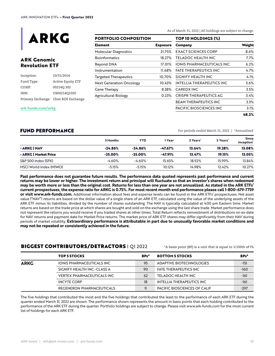

# **ARK Genomic Revolution ETF**

| Inception: | 10/31/2014                          |
|------------|-------------------------------------|
| Fund Type: | <b>Active Equity ETF</b>            |
| CUSIP:     | 002140 302                          |
| ISIN:      | US00214O1020                        |
|            | Primary Exchange: Cboe BZX Exchange |

#### **PORTFOLIO COMPOSITION**

| <b>Exposure</b> |
|-----------------|
| 21.75%          |
| 18.27%          |
| 17.01%          |
| 11.68%          |
| 10.70%          |
| 10.43%          |
| 8.38%           |
| 0.23%           |
|                 |

As of March 31, 2022 | All holdings are subject to change.

| TOP 10 HOLDINGS (%)        |        |
|----------------------------|--------|
| Company                    | Weight |
| EXACT SCIENCES CORP        | 8.6%   |
| TFI ADOC HFAITH INC        | 7.7%   |
| IONIS PHARMACFUTICAI S INC | 6. ን%  |
| FATF THERAPFUTICS INC      | 4.7%   |
| SIGNIFY HEALTH INC         | 4.1%   |
| INTELLIA THERAPEUTICS INC  | 3.6%   |
| CARFDX INC                 | 3.5%   |
| CRISPR THERAPFUTICS AG     | 3.4%   |
| BEAM THERAPEUTICS INC      | 3.3%   |
| PACIFIC BIOSCIENCES INC    | 3.1%   |
|                            | 48.2%  |

**[ark-funds.com/arkg](ark-funds.com/arkq)**

#### FUND PERFORMANCE FOR THE SERVICE RESERVE TO A RESERVE THE FOR PERSON FOR PERSON RANGE TO A PROPERTY ADDITIONAL THE SERVE TO A PROPERTY A PART OF PERSON RESERVED ON A RESERVED ON A PROPERTY AND ANNO 1999 IN A PART OF STREET

|                         | 3 Months   | YTD        | 1 Year    | 3 Years' | 5 Years' | <b>Since</b><br>Inception' |
|-------------------------|------------|------------|-----------|----------|----------|----------------------------|
| • ARKG I NAV            | $-24.86%$  | $-24.86%$  | $-47.67%$ | 13.64%   | 19.28%   | 13.08%                     |
| • ARKG   Market Price   | $-25.00\%$ | $-25.00\%$ | -47.91%   | 13.47%   | 19.15%   | 13.05%                     |
| S&P 500 Index (SPX)     | $-4.60%$   | $-4.60%$   | 15.65%    | 18.92%   | 15.99%   | 13.84%                     |
| MSCI World Index (MIWO) | $-5.15%$   | $-5.15%$   | 10.12%    | 14.98%   | 12.42%   | 10.27%                     |

**Past performance does not guarantee future results. The performance data quoted represents past performance and current returns may be lower or higher. The investment return and principal will fluctuate so that an investor's shares when redeemed may be worth more or less than the original cost. Returns for less than one year are not annualized. As stated in the ARK ETFs' current prospectuses, the expense ratio for ARKG is 0.75%. For most recent month end performance please call 1-800-679-7759 or visit www.ark-funds.com.** Additional information about fees and expense levels can be found in the ARK ETFs' prospectuses. Net asset value ("NAV") returns are based on the dollar value of a single share of an ARK ETF, calculated using the value of the underlying assets of the ARK ETF minus its liabilities, divided by the number of shares outstanding. The NAV is typically calculated at 4:00 pm Eastern time. Market returns are based on the trade price at which shares are bought and sold on the exchange using the last share trade. Market performance does not represent the returns you would receive if you traded shares at other times. Total Return reflects reinvestment of distributions on ex-date for NAV returns and payment date for Market Price returns. The market price of ARK ETF shares may differ significantly from their NAV during periods of market volatility. **Extraordinary performance is attributable in part due to unusually favorable market conditions and may not be repeated or consistently achieved in the future.**

# **BIGGEST CONTRIBUTORS/DETRACTORS** | Q1 2022  $\bullet$  \* A basis point (BP) is a unit that is equal to 1/100th of 1%

|             | TOP 5 STOCKS                      | BPs*         | <b>BOTTOM 5 STOCKS</b>           | BPs*   |
|-------------|-----------------------------------|--------------|----------------------------------|--------|
| <b>ARKG</b> | <b>IONIS PHARMACEUTICALS INC</b>  | 95           | ADAPTIVE BIOTECHNOLOGIES         | $-151$ |
|             | SIGNIFY HEALTH INC-CLASS A        | 90           | <b>FATE THERAPEUTICS INC</b>     | $-160$ |
|             | <b>VERTEX PHARMACEUTICALS INC</b> | 62           | TELADOC HEALTH INC               | $-161$ |
|             | <b>INCYTE CORP</b>                | 18           | <b>INTELLIA THERAPEUTICS INC</b> | -161   |
|             | REGENERON PHARMACEUTICALS         | $\mathbf{u}$ | PACIFIC BIOSCIENCES OF CALIF     | $-297$ |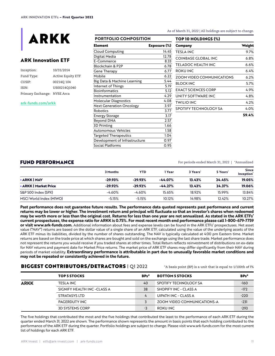

# **ARK Innovation ETF**

| Inception:                  | 10/31/2014               |
|-----------------------------|--------------------------|
| Fund Type:                  | <b>Active Equity ETF</b> |
| CUSIP:                      | 00214Q 104               |
| ISIN:                       | US00214O1040             |
| Primary Exchange: NYSE Arca |                          |

#### **[ark-funds.com/arkk](ark-funds.com/arkq)**

#### **Element Exposure (%)** Cloud Computing 14.45 Digital Media 12.78 E-Commerce 8.33 Blockchain & P2P 6.78 Gene Therapy 6.77 Mobile 6.22 Big Data & Machine Learning 5.44 Internet of Things 5.19 Bioinformatics 5.12 Instrumentation 4.29 Molecular Diagnostics 4.08 Next Generation Oncology 3.97 Robotics 3.77 Energy Storage 3.17 Beyond DNA 2.57 3D Printing 1.66 Autonomous Vehicles 1.58 Targeted Therapeutics 1.04 Development of Infrastructure 0.97 Social Platforms 0.95 **PORTFOLIO COMPOSITION**

As of March 31, 2022 | All holdings are subject to change.

| Company                          | Weight  |
|----------------------------------|---------|
| TESLA INC                        | 9.7%    |
| <b>COINBASE GLOBAL INC</b>       | $6.8\%$ |
| TELADOC HEALTH INC               | 6.6%    |
| ROKU INC                         | 6.4%    |
| <b>ZOOM VIDEO COMMUNICATIONS</b> | 6.2%    |
| BLOCK INC                        | 5.7%    |
| <b>EXACT SCIENCES CORP</b>       | 4.9%    |
| UNITY SOFTWARF INC               | 4.8%    |
| <b>TWILIO INC</b>                | 4.2%    |
| SPOTIFY TECHNOLOGY SA            | 4.0%    |
|                                  | 59.4%   |

#### FUND PERFORMANCE FOR THE SERVICE RESERVE TO A RESERVE THE FOR PERSON FOR PERSONAL PROPERTY ADDITIONAL PROPERTY ADDITIONAL PROPERTY ADDITIONAL PROPERTY AND ALLOWED A RESERVE TO A RESERVE THE SERVE TO A RESERVE THE SERVE TO

|                         | 3 Months  | YTD       | Year      | 3 Years | 5 Years' | Since<br>Inception <sup>*</sup> |
|-------------------------|-----------|-----------|-----------|---------|----------|---------------------------------|
| • ARKK I NAV            | $-29.93%$ | $-29.93%$ | $-44.07%$ | 13.43%  | 24.45%   | 19.05%                          |
| • ARKK   Market Price   | $-29.92%$ | $-29.92%$ | $-44.27%$ | 13.43%  | 24.37%   | 19.06%                          |
| S&P 500 Index (SPX)     | $-4.60%$  | $-4.60%$  | 15.65%    | 18.92%  | 15.99%   | 13.84%                          |
| MSCI World Index (MIWO) | $-5.15%$  | $-5.15%$  | 10.12%    | 14.98%  | 12.42%   | 10.27%                          |

**Past performance does not guarantee future results. The performance data quoted represents past performance and current returns may be lower or higher. The investment return and principal will fluctuate so that an investor's shares when redeemed may be worth more or less than the original cost. Returns for less than one year are not annualized. As stated in the ARK ETFs' current prospectuses, the expense ratio for ARKK is 0.75%. For most recent month end performance please call 1-800-679-7759 or visit www.ark-funds.com.** Additional information about fees and expense levels can be found in the ARK ETFs' prospectuses. Net asset value ("NAV") returns are based on the dollar value of a single share of an ARK ETF, calculated using the value of the underlying assets of the ARK ETF minus its liabilities, divided by the number of shares outstanding. The NAV is typically calculated at 4:00 pm Eastern time. Market returns are based on the trade price at which shares are bought and sold on the exchange using the last share trade. Market performance does not represent the returns you would receive if you traded shares at other times. Total Return reflects reinvestment of distributions on ex-date for NAV returns and payment date for Market Price returns. The market price of ARK ETF shares may differ significantly from their NAV during periods of market volatility. **Extraordinary performance is attributable in part due to unusually favorable market conditions and may not be repeated or consistently achieved in the future.**

# **BIGGEST CONTRIBUTORS/DETRACTORS** | Q1 2022  $^*$ A basis point (BP) is a unit that is equal to 1/100th of 1%

|             | <b>TOP 5 STOCKS</b>         | BPs* | <b>BOTTOM 5 STOCKS</b>      | BPs*   |
|-------------|-----------------------------|------|-----------------------------|--------|
| <b>ARKK</b> | <b>TESLA INC</b>            | 40   | SPOTIFY TECHNOLOGY SA       | $-160$ |
|             | SIGNIFY HEALTH INC -CLASS A | 38   | SHOPIFY INC - CLASS A       | $-172$ |
|             | STRATASYS LTD               | 4    | UIPATH INC - CLASS A        | $-220$ |
|             | PAGERDUTY INC               |      | ZOOM VIDEO COMMUNICATIONS-A | $-231$ |
|             | <b>3D SYSTEMS CORP</b>      | -3   | ROKU INC                    | $-293$ |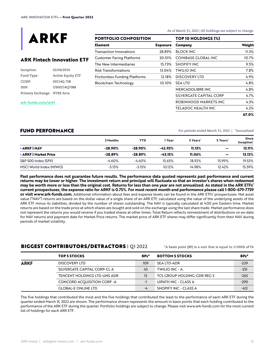

# **ARK Fintech Innovation ETF**

| Inception:                  | 02/04/2019               |
|-----------------------------|--------------------------|
| Fund Type:                  | <b>Active Equity ETF</b> |
| CUSIP:                      | 002140 708               |
| ISIN:                       | US00214Q7088             |
| Primary Exchange: NYSE Arca |                          |

#### **[ark-funds.com/arkf](ark-funds.com/arkq)**

#### **PORTFOLIO COMPOSITION**

| Element                          | <b>Exposure</b> |
|----------------------------------|-----------------|
| Transaction Innovations          | 28.89%          |
| <b>Customer Facing Platforms</b> | 20.01%          |
| The New Intermediaries           | 15.73%          |
| Risk Transformations             | 13.04%          |
| Frictionless Funding Platforms   | 12.18%          |
| Blockchain Technology            | 10.10%          |
|                                  |                 |

As of March 31, 2022 | All holdings are subject to change.

| TOP 10 HOLDINGS (%)     |        |
|-------------------------|--------|
| Company                 | Weight |
| BLOCK INC               | 11.3%  |
| COINBASE GLOBAL INC     | 10.7%  |
| <b>SHOPIFY INC</b>      | 9.5%   |
| <b>TWILIO INC</b>       | 7.8%   |
| <b>DISCOVERY LTD</b>    | 4.9%   |
| SEA LTD                 | 4.8%   |
| MERCADOI IBRE INC       | 4.8%   |
| SILVERGATE CAPITAL CORP | 4.7%   |
| ROBINHOOD MARKETS INC   | 4.3%   |
| TELADOC HEALTH INC      | 4.2%   |
|                         | 67.0%  |

FUND PERFORMANCE FORMANCE FOR PERSON FOR PERSON FOR PERSONAL PROPERTY ADDITIONAL PROPERTY ADDITIONAL PROPERTY AND ANNO 1972 I \*Annualized

|                         | 3 Months  | YTD       | 1 Year    | 3 Years' | 5 Years' | <b>Since</b><br>Inception <sup>*</sup> |
|-------------------------|-----------|-----------|-----------|----------|----------|----------------------------------------|
| • ARKF I NAV            | $-28.90%$ | $-28.90%$ | $-42.93%$ | 11.13%   | -        | 13.11%                                 |
| • ARKF   Market Price   | $-28.89%$ | $-28.89%$ | $-43.15%$ | 11.06%   | -        | 13.12%                                 |
| S&P 500 Index (SPX)     | $-4.60%$  | $-4.60%$  | 15.65%    | 18.92%   | 15.99%   | 19.53%                                 |
| MSCI World Index (MIWO) | $-5.15%$  | $-5.15%$  | 10.12%    | 14.98%   | 12.42%   | 15.59%                                 |

**Past performance does not guarantee future results. The performance data quoted represents past performance and current returns may be lower or higher. The investment return and principal will fluctuate so that an investor's shares when redeemed may be worth more or less than the original cost. Returns for less than one year are not annualized. As stated in the ARK ETFs' current prospectuses, the expense ratio for ARKF is 0.75%. For most recent month end performance please call 1-800-679-7759 or visit www.ark-funds.com.** Additional information about fees and expense levels can be found in the ARK ETFs' prospectuses. Net asset value ("NAV") returns are based on the dollar value of a single share of an ARK ETF, calculated using the value of the underlying assets of the ARK ETF minus its liabilities, divided by the number of shares outstanding. The NAV is typically calculated at 4:00 pm Eastern time. Market returns are based on the trade price at which shares are bought and sold on the exchange using the last share trade. Market performance does not represent the returns you would receive if you traded shares at other times. Total Return reflects reinvestment of distributions on ex-date for NAV returns and payment date for Market Price returns. The market price of ARK ETF shares may differ significantly from their NAV during periods of market volatility.

# **BIGGEST CONTRIBUTORS/DETRACTORS** | Q1 2022  $\bullet$  \* A basis point (BP) is a unit that is equal to 1/100th of 1%

|             | <b>TOP 5 STOCKS</b>          | BPs* | <b>BOTTOM 5 STOCKS</b>      | BPs*   |
|-------------|------------------------------|------|-----------------------------|--------|
| <b>ARKF</b> | DISCOVERY LTD                | 109  | <b>SEA LTD-ADR</b>          | $-229$ |
|             | SILVERGATE CAPITAL CORP-CL A | 43   | TWILIO INC - A              | $-251$ |
|             | TENCENT HOLDINGS LTD-UNS ADR | 13   | TCS GROUP HOLDING-GDR REG S | $-265$ |
|             | CONCORD ACQUISITION CORP -A  | -1   | UIPATH INC - CLASS A        | $-290$ |
|             | <b>GLOBAL-E ONLINE LTD</b>   | -4   | SHOPIFY INC - CLASS A       | $-413$ |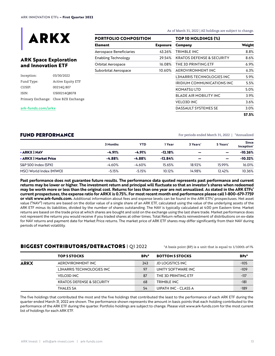

# **ARK Space Exploration and Innovation ETF**

| Inception: | 03/30/2022                          |  |  |
|------------|-------------------------------------|--|--|
| Fund Type: | <b>Active Equity ETF</b>            |  |  |
| CUSIP:     | 00214Q 807                          |  |  |
| ISIN:      | US00214O8078                        |  |  |
|            | Primary Exchange: Cboe BZX Exchange |  |  |

**PORTFOLIO COMPOSITION**

**Element Exposure** Aerospace Beneficiaries 43.26% Enabling Technology 29.54% Orbital Aerospace 16.08% Suborbital Aerospace 10.60%

**TOP 10 HOLDINGS (%)** As of March 31, 2022 | All holdings are subject to change.

| Company                       | Weight |
|-------------------------------|--------|
| TRIMBLE INC                   | 8.8%   |
| KRATOS DEFENSE & SECURITY     | 8.6%   |
| THE 3D PRINTING ETF           | 6.9%   |
| AEROVIRONMENT INC             | 6.3%   |
| L3HARRIS TECHNOLOGIES INC     | 5.9%   |
| IRIDIUM COMMUNICATIONS INC    | 5.5%   |
| <b>KOMATSU LTD</b>            | 5.0%   |
| <b>BLADE AIR MOBILITY INC</b> | 3.9%   |
| <b>VELO3D INC</b>             | 3.6%   |
| <b>DASSAULT SYSTEMES SE</b>   | 3.0%   |
|                               | 57.5%  |

#### **[ark-funds.com/arkx](ark-funds.com/arkq)**

For periods ended March 31, 2022 | \*Annualized

|                         | 3 Months | YTD                  | 1 Year                 | 3 Years' | 5 Years'                 | <b>Since</b><br>Inception' |
|-------------------------|----------|----------------------|------------------------|----------|--------------------------|----------------------------|
| • ARKX I NAV            | $-4.91%$ | $-4.91%$<br>$-4.88%$ | $-12.18%$<br>$-12.84%$ | -        | -                        | $-10.26%$<br>$-10.32%$     |
| • ARKX   Market Price   | $-4.88%$ |                      |                        | -        | $\overline{\phantom{0}}$ |                            |
| S&P 500 Index (SPX)     | $-4.60%$ | $-4.60%$             | 15.65%                 | 18.92%   | 15.99%                   | 16.01%                     |
| MSCI World Index (MIWO) | $-5.15%$ | $-5.15%$             | 10.12%                 | 14.98%   | 12.42%                   | 10.36%                     |

**Past performance does not guarantee future results. The performance data quoted represents past performance and current returns may be lower or higher. The investment return and principal will fluctuate so that an investor's shares when redeemed may be worth more or less than the original cost. Returns for less than one year are not annualized. As stated in the ARK ETFs' current prospectuses, the expense ratio for ARKX is 0.75%. For most recent month end performance please call 1-800-679-7759 or visit www.ark-funds.com.** Additional information about fees and expense levels can be found in the ARK ETFs' prospectuses. Net asset value ("NAV") returns are based on the dollar value of a single share of an ARK ETF, calculated using the value of the underlying assets of the ARK ETF minus its liabilities, divided by the number of shares outstanding. The NAV is typically calculated at 4:00 pm Eastern time. Market returns are based on the trade price at which shares are bought and sold on the exchange using the last share trade. Market performance does not represent the returns you would receive if you traded shares at other times. Total Return reflects reinvestment of distributions on ex-date for NAV returns and payment date for Market Price returns. The market price of ARK ETF shares may differ significantly from their NAV during periods of market volatility.

# **BIGGEST CONTRIBUTORS/DETRACTORS** | Q1 2022  $^*$ A basis point (BP) is a unit that is equal to 1/100th of 1%

|             | <b>TOP 5 STOCKS</b>                  | BPs* | <b>BOTTOM 5 STOCKS</b>  | BPs*   |
|-------------|--------------------------------------|------|-------------------------|--------|
| <b>ARKX</b> | AEROVIRONMENT INC                    | 243  | <b>JD LOGISTICS INC</b> | $-105$ |
|             | L3HARRIS TECHNOLOGIES INC            | 97   | UNITY SOFTWARE INC      | $-109$ |
|             | <b>VELO3D INC</b>                    | 87   | THE 3D PRINTING ETF     | -117   |
|             | <b>KRATOS DEFENSE &amp; SECURITY</b> | 68   | TRIMBLE INC             | $-181$ |
|             | <b>THALES SA</b>                     | 54   | UIPATH INC - CLASS A    | $-189$ |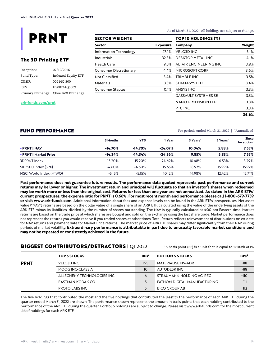

# **The 3D Printing ETF**

| Inception: | 07/19/2016                          |
|------------|-------------------------------------|
| Fund Type: | Indexed Equity ETF                  |
| CUSIP:     | 002140 500                          |
| ISIN:      | US00214O5009                        |
|            | Primary Exchange: Cboe BZX Exchange |

**[ark-funds.com/p](ark-funds.com/arkq)rnt**

| <b>SECTOR WEIGHTS</b> |  |  |  |  |
|-----------------------|--|--|--|--|
| <b>Exposure</b>       |  |  |  |  |
| 47.1%                 |  |  |  |  |
| 32.3%                 |  |  |  |  |
| 9.5%                  |  |  |  |  |
| 4.4%                  |  |  |  |  |
| 3.4%                  |  |  |  |  |
| 3.3%                  |  |  |  |  |
| 0.1%                  |  |  |  |  |
|                       |  |  |  |  |

As of March 31, 2022 | All holdings are subject to change.

| TOP 10 HOLDINGS (%)    |        |  |  |
|------------------------|--------|--|--|
| Company                | Weight |  |  |
| VELO3D INC             | 5.1%   |  |  |
| DESKTOP METAL INC      | 4.1%   |  |  |
| ALTAIR ENGINEERING INC | 3.8%   |  |  |
| MICROSOFT CORP         | 3.6%   |  |  |
| TRIMBI F INC           | 3.5%   |  |  |
| <b>STRATASYS LTD</b>   | 3.4%   |  |  |
| <b>ANSYS INC</b>       | 3.3%   |  |  |
| DASSAULT SYSTEMES SE   | 3.3%   |  |  |
| NANO DIMENSION LTD     | 3.3%   |  |  |
| PTC INC                | 3.3%   |  |  |
|                        | 36.6%  |  |  |

FUND PERFORMANCE FOR THE SERVICE RESERVE TO A RESERVE THE FOR PERSON FOR PERSON RANGE TO A PROPERTY ADDITIONAL THE SERVE TO A PROPERTY A PART OF PERSON RESERVED ON A RESERVED ON A PROPERTY AND ANNO 1999 IN A PART OF STREET

|                         | 3 Months  | YTD       | 1 Year    | 3 Years' | 5 Years' | <b>Since</b><br>Inception' |
|-------------------------|-----------|-----------|-----------|----------|----------|----------------------------|
| • PRNT I NAV            | $-14.70%$ | $-14.70%$ | $-24.07%$ | 10.04%   | 5.88%    | 7.55%                      |
| • PRNT   Market Price   | $-14.34%$ | $-14.34%$ | $-24.36%$ | 9.85%    | 5.83%    | 7.55%                      |
| 3DPRNT Index            | $-15.20%$ | $-15.20%$ | $-24.69%$ | 10.48%   | 6.53%    | 8.29%                      |
| S&P 500 Index (SPX)     | $-4.60%$  | $-4.60%$  | 15.65%    | 18.92%   | 15.99%   | 15.92%                     |
| MSCI World Index (MIWO) | $-5.15%$  | $-5.15%$  | 10.12%    | 14.98%   | 12.42%   | 12.71%                     |

**Past performance does not guarantee future results. The performance data quoted represents past performance and current returns may be lower or higher. The investment return and principal will fluctuate so that an investor's shares when redeemed may be worth more or less than the original cost. Returns for less than one year are not annualized. As stated in the ARK ETFs' current prospectuses, the expense ratio for PRNT is 0.66%. For most recent month end performance please call 1-800-679-7759 or visit www.ark-funds.com.** Additional information about fees and expense levels can be found in the ARK ETFs' prospectuses. Net asset value ("NAV") returns are based on the dollar value of a single share of an ARK ETF, calculated using the value of the underlying assets of the ARK ETF minus its liabilities, divided by the number of shares outstanding. The NAV is typically calculated at 4:00 pm Eastern time. Market returns are based on the trade price at which shares are bought and sold on the exchange using the last share trade. Market performance does not represent the returns you would receive if you traded shares at other times. Total Return reflects reinvestment of distributions on ex-date for NAV returns and payment date for Market Price returns. The market price of ARK ETF shares may differ significantly from their NAV during periods of market volatility. **Extraordinary performance is attributable in part due to unusually favorable market conditions and may not be repeated or consistently achieved in the future.**

# **BIGGEST CONTRIBUTORS/DETRACTORS** | Q1 2022  $\bullet$  \* A basis point (BP) is a unit that is equal to 1/100th of 1%

|             | <b>TOP 5 STOCKS</b>        | BPs* | <b>BOTTOM 5 STOCKS</b>       | BPs*   |
|-------------|----------------------------|------|------------------------------|--------|
| <b>PRNT</b> | <b>VELO3D INC</b>          | 195  | MATERIALISE NV-ADR           | -88    |
|             | MOOG INC-CLASS A           | 10   | AUTODESK INC                 | -88    |
|             | ALLEGHENY TECHNOLOGIES INC | 6    | STRAUMANN HOLDING AG-REG     | $-110$ |
|             | EASTMAN KODAK CO           |      | FATHOM DIGITAL MANUFACTURING | -111   |
|             | <b>PROTO LABS INC</b>      |      | <b>BICO GROUP AB</b>         | $-112$ |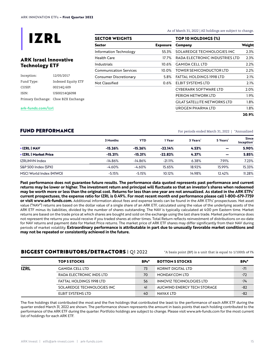

# **ARK Israel Innovative Technology ETF**

| Inception: | 12/05/2017                          |
|------------|-------------------------------------|
| Fund Type: | Indexed Equity ETF                  |
| CUSIP:     | 002140 609                          |
| ISIN:      | US00214Q6098                        |
|            | Primary Exchange: Cboe BZX Exchange |

**SECTOR WEIGHTS**

| Sector                 | <b>Exposure</b> |
|------------------------|-----------------|
| Information Technology | 55.3%           |
| Health Care            | 17.7%           |
| Industrials            | 10.6%           |
| Communication Services | 10.0%           |
| Consumer Discretionary | 5.8%            |
| Not Classified         | 0.6%            |
|                        |                 |

As of March 31, 2022 | All holdings are subject to change.

| Company                             | Weight |
|-------------------------------------|--------|
| SOLAREDGE TECHNOLOGIES INC          | 2.3%   |
| RADA FI FCTRONIC INDUSTRIES I TD    | 2.3%   |
| GAMIDA CELL LTD                     | 2.2%   |
| TOWER SEMICONDUCTOR LTD             | 2.2%   |
| FATTAL HOLDINGS 1998 LTD            | 2.1%   |
| FI BIT SYSTEMS LTD                  | 2.1%   |
| CYBERARK SOFTWARE ITD               | 2.0%   |
| PERION NETWORK LTD                  | 1.9%   |
| <b>GILAT SATELLITE NETWORKS LTD</b> | 1.8%   |
| UROGEN PHARMA ITD                   | 1.8%   |
|                                     | 20.9%  |

#### **[ark-funds.com/i](ark-funds.com/arkq)zrl**

For periods ended March 31, 2022 | \*Annualized

| <b>FUND PERFORMANCE</b> |  |
|-------------------------|--|
|-------------------------|--|

|                            | 3 Months  | <b>YTD</b> | 1 Year    | 3 Years' | 5 Years' | <b>Since</b><br>Inception' |
|----------------------------|-----------|------------|-----------|----------|----------|----------------------------|
| <b>IZRL I NAV</b>          | $-15.26%$ | $-15.26%$  | $-22.14%$ | 4.53%    | -        | 5.90%                      |
| <b>IZRL   Market Price</b> | $-15.21%$ | $-15.21%$  | $-22.82%$ | 4.37%    | -        | 5.85%                      |
| <b>IZRLINVN Index</b>      | $-14.86%$ | $-14.86%$  | $-21.11%$ | 6.38%    | 7.91%    | 7.23%                      |
| S&P 500 Index (SPX)        | $-4.60%$  | $-4.60%$   | 15.65%    | 18.92%   | 15.99%   | 15.33%                     |
| MSCI World Index (MIWO)    | $-5.15%$  | $-5.15%$   | 10.12%    | 14.98%   | 12.42%   | 11.28%                     |
|                            |           |            |           |          |          |                            |

**Past performance does not guarantee future results. The performance data quoted represents past performance and current returns may be lower or higher. The investment return and principal will fluctuate so that an investor's shares when redeemed may be worth more or less than the original cost. Returns for less than one year are not annualized. As stated in the ARK ETFs' current prospectuses, the expense ratio for IZRL is 0.49%. For most recent month end performance please call 1-800-679-7759 or visit www.ark-funds.com.** Additional information about fees and expense levels can be found in the ARK ETFs' prospectuses. Net asset value ("NAV") returns are based on the dollar value of a single share of an ARK ETF, calculated using the value of the underlying assets of the ARK ETF minus its liabilities, divided by the number of shares outstanding. The NAV is typically calculated at 4:00 pm Eastern time. Market returns are based on the trade price at which shares are bought and sold on the exchange using the last share trade. Market performance does not represent the returns you would receive if you traded shares at other times. Total Return reflects reinvestment of distributions on ex-date for NAV returns and payment date for Market Price returns. The market price of ARK ETF shares may differ significantly from their NAV during periods of market volatility. **Extraordinary performance is attributable in part due to unusually favorable market conditions and may not be repeated or consistently achieved in the future.**

# **BIGGEST CONTRIBUTORS/DETRACTORS** | Q1 2022  $*$ A basis point (BP) is a unit that is equal to 1/100th of 1%

|             | TOP 5 STOCKS                    | BPs* | <b>BOTTOM 5 STOCKS</b>          | BPs*  |
|-------------|---------------------------------|------|---------------------------------|-------|
| <b>IZRL</b> | <b>GAMIDA CELL LTD</b>          | 73   | KORNIT DIGITAL LTD              | -71   |
|             | RADA ELECTRONIC INDS LTD        | 70   | MONDAY.COM LTD                  | $-72$ |
|             | <b>FATTAL HOLDINGS 1998 LTD</b> | 56   | <b>INNOVIZ TECHNOLOGIES LTD</b> | $-74$ |
|             | SOLAREDGE TECHNOLOGIES INC      | 41   | AUGWIND ENERGY TECH STORAGE     | $-82$ |
|             | ELBIT SYSTEMS LTD               | 40   | NAYAX LTD                       | -82   |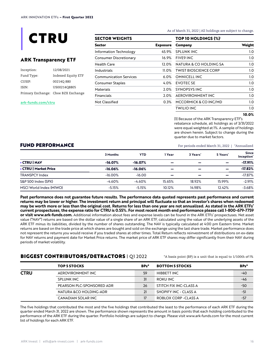

## **ARK Transparency ETF**

| Inception: | 12/08/2021                          |
|------------|-------------------------------------|
| Fund Type: | Indexed Equity ETF                  |
| CUSIP:     | 002140880                           |
| ISIN:      | US00214Q8805                        |
|            | Primary Exchange: Cboe BZX Exchange |

#### **[ark-funds.com/c](ark-funds.com/arkq)tru**

| SECTOR WEIGHTS                |                 |  |  |  |
|-------------------------------|-----------------|--|--|--|
| Sector                        | <b>Exposure</b> |  |  |  |
| Information Technology        | 45.9%           |  |  |  |
| Consumer Discretionary        | 16.9%           |  |  |  |
| <b>Health Care</b>            | 12.0%           |  |  |  |
| Industrials                   | 11.0%           |  |  |  |
| <b>Communication Services</b> | 6.0%            |  |  |  |
| <b>Consumer Staples</b>       | 4.0%            |  |  |  |
| Materials                     | 2.0%            |  |  |  |
| <b>Financials</b>             | 2.0%            |  |  |  |
| <b>Not Classified</b>         | 0.3%            |  |  |  |
|                               |                 |  |  |  |

**SECTOR WEIGHTS**

As of March 31, 2022 | All holdings are subject to change.

| <b>TOP 10 HOLDINGS (%)</b>   |        |  |  |  |
|------------------------------|--------|--|--|--|
| Company                      | Weight |  |  |  |
| SPLUNK INC                   | 1.0    |  |  |  |
| <b>FIVE9 INC</b>             | 1.0    |  |  |  |
| NATURA & CO HOI DING SA      | 1.0    |  |  |  |
| <b>TWIST BIOSCIENCE CORP</b> | 1.0    |  |  |  |
| OMNICELL INC                 | 1.0    |  |  |  |
| <b>EVOTEC SE</b>             | 1.0    |  |  |  |
| SYNOPSYS INC                 | 1.0    |  |  |  |
| AFROVIRONMENT INC            | 1.0    |  |  |  |
| MCCORMICK & CO INC/MD        | 1.0    |  |  |  |
| TWILIO INC                   | 1.0    |  |  |  |

#### **10.0%**

[1] Because of the ARK Transparency ETF's rebalance schedule, all holdings as of 3/31/2022 were equal weighted at 1%. A sample of holdings are shown herein. Subject to change during the quarter due to market factors.

FUND PERFORMANCE For periods ended March 31, 2022 | \*Annualized

|                         | 3 Months   | YTD       | 1 Year                   | 3 Years' | 5 Years*                 | <b>Since</b><br>Inception' |
|-------------------------|------------|-----------|--------------------------|----------|--------------------------|----------------------------|
| • CTRU I NAV            | $-16.07%$  | $-16.07%$ | $\overline{\phantom{0}}$ | -        | -                        | $-17.91%$                  |
| • CTRU   Market Price   | $-16.06%$  | $-16.06%$ | $\overline{\phantom{0}}$ | -        | $\overline{\phantom{0}}$ | $-17.82%$                  |
| <b>TRANSPCY Index</b>   | $-16.00\%$ | $-16.00$  | -                        | -        | -                        | $-17.87%$                  |
| S&P 500 Index (SPX)     | $-4.60%$   | $-4.60%$  | 15.65%                   | 18.92%   | 15.99%                   | $-2.91%$                   |
| MSCI World Index (MIWO) | $-5.15%$   | $-5.15%$  | 10.12%                   | 14.98%   | 12.42%                   | $-3.68%$                   |

**Past performance does not guarantee future results. The performance data quoted represents past performance and current returns may be lower or higher. The investment return and principal will fluctuate so that an investor's shares when redeemed may be worth more or less than the original cost. Returns for less than one year are not annualized. As stated in the ARK ETFs' current prospectuses, the expense ratio for CTRU is 0.55%. For most recent month end performance please call 1-800-679-7759 or visit www.ark-funds.com.** Additional information about fees and expense levels can be found in the ARK ETFs' prospectuses. Net asset value ("NAV") returns are based on the dollar value of a single share of an ARK ETF, calculated using the value of the underlying assets of the ARK ETF minus its liabilities, divided by the number of shares outstanding. The NAV is typically calculated at 4:00 pm Eastern time. Market returns are based on the trade price at which shares are bought and sold on the exchange using the last share trade. Market performance does not represent the returns you would receive if you traded shares at other times. Total Return reflects reinvestment of distributions on ex-date for NAV returns and payment date for Market Price returns. The market price of ARK ETF shares may differ significantly from their NAV during periods of market volatility.

## **BIGGEST CONTRIBUTORS/DETRACTORS** | Q1 2022  $^*$ A basis point (BP) is a unit that is equal to 1/100th of 1%

|             | <b>TOP 5 STOCKS</b>       | BPs* | <b>BOTTOM 5 STOCKS</b> | BPs*  |
|-------------|---------------------------|------|------------------------|-------|
| <b>CTRU</b> | AEROVIRONMENT INC         | 59   | HIBBETT INC            | $-40$ |
|             | SPLUNK INC                | 31   | ROKU INC               | -46   |
|             | PEARSON PLC-SPONSORED ADR | 26   | STITCH FIX INC-CLASS A | $-50$ |
|             | NATURA &CO HOLDING-ADR    | 21   | SHOPIFY INC - CLASS A  | $-51$ |
|             | CANADIAN SOLAR INC        | 17   | ROBLOX CORP - CLASS A  | $-57$ |